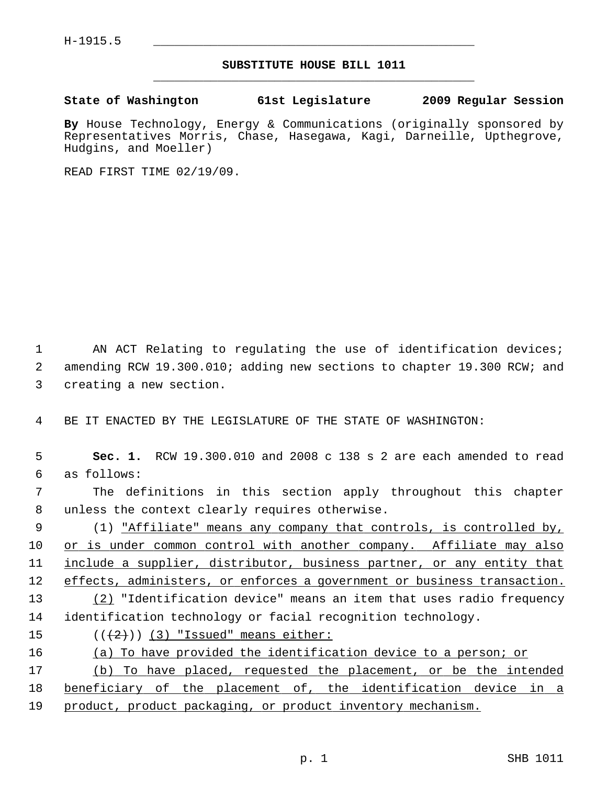## **SUBSTITUTE HOUSE BILL 1011** \_\_\_\_\_\_\_\_\_\_\_\_\_\_\_\_\_\_\_\_\_\_\_\_\_\_\_\_\_\_\_\_\_\_\_\_\_\_\_\_\_\_\_\_\_

## **State of Washington 61st Legislature 2009 Regular Session**

**By** House Technology, Energy & Communications (originally sponsored by Representatives Morris, Chase, Hasegawa, Kagi, Darneille, Upthegrove, Hudgins, and Moeller)

READ FIRST TIME 02/19/09.

1 AN ACT Relating to regulating the use of identification devices; 2 amending RCW 19.300.010; adding new sections to chapter 19.300 RCW; and 3 creating a new section.

4 BE IT ENACTED BY THE LEGISLATURE OF THE STATE OF WASHINGTON:

 5 **Sec. 1.** RCW 19.300.010 and 2008 c 138 s 2 are each amended to read 6 as follows: 7 The definitions in this section apply throughout this chapter

8 unless the context clearly requires otherwise.

 9 (1) "Affiliate" means any company that controls, is controlled by, 10 or is under common control with another company. Affiliate may also 11 include a supplier, distributor, business partner, or any entity that 12 effects, administers, or enforces a government or business transaction. 13 (2) "Identification device" means an item that uses radio frequency

14 identification technology or facial recognition technology.

15  $((+2)^{n})$  (3) "Issued" means either:

16 (a) To have provided the identification device to a person; or

17 (b) To have placed, requested the placement, or be the intended 18 beneficiary of the placement of, the identification device in a 19 product, product packaging, or product inventory mechanism.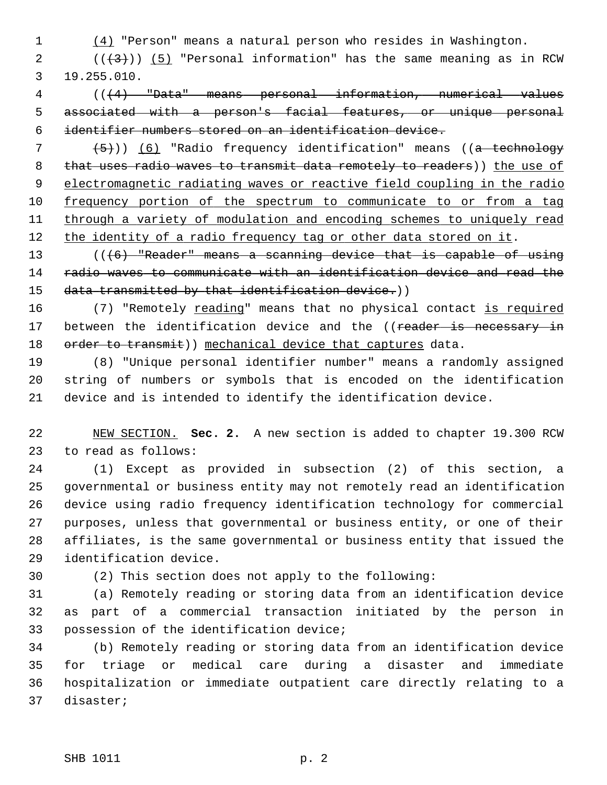1 (4) "Person" means a natural person who resides in Washington.

2  $((+3))$  (5) "Personal information" has the same meaning as in RCW 3 19.255.010.

 4 (((4) "Data" means personal information, numerical values 5 associated with a person's facial features, or unique personal 6 identifier numbers stored on an identification device.

  $(5)$ )) (6) "Radio frequency identification" means ((a technology 8 that uses radio waves to transmit data remotely to readers)) the use of electromagnetic radiating waves or reactive field coupling in the radio frequency portion of the spectrum to communicate to or from a tag through a variety of modulation and encoding schemes to uniquely read 12 the identity of a radio frequency tag or other data stored on it.

13 (((6) "Reader" means a scanning device that is capable of using 14 radio waves to communicate with an identification device and read the 15 data transmitted by that identification device.))

16 (7) "Remotely reading" means that no physical contact is required 17 between the identification device and the ((reader is necessary in 18 order to transmit)) mechanical device that captures data.

19 (8) "Unique personal identifier number" means a randomly assigned 20 string of numbers or symbols that is encoded on the identification 21 device and is intended to identify the identification device.

22 NEW SECTION. **Sec. 2.** A new section is added to chapter 19.300 RCW 23 to read as follows:

24 (1) Except as provided in subsection (2) of this section, a 25 governmental or business entity may not remotely read an identification 26 device using radio frequency identification technology for commercial 27 purposes, unless that governmental or business entity, or one of their 28 affiliates, is the same governmental or business entity that issued the 29 identification device.

30 (2) This section does not apply to the following:

31 (a) Remotely reading or storing data from an identification device 32 as part of a commercial transaction initiated by the person in 33 possession of the identification device;

34 (b) Remotely reading or storing data from an identification device 35 for triage or medical care during a disaster and immediate 36 hospitalization or immediate outpatient care directly relating to a 37 disaster;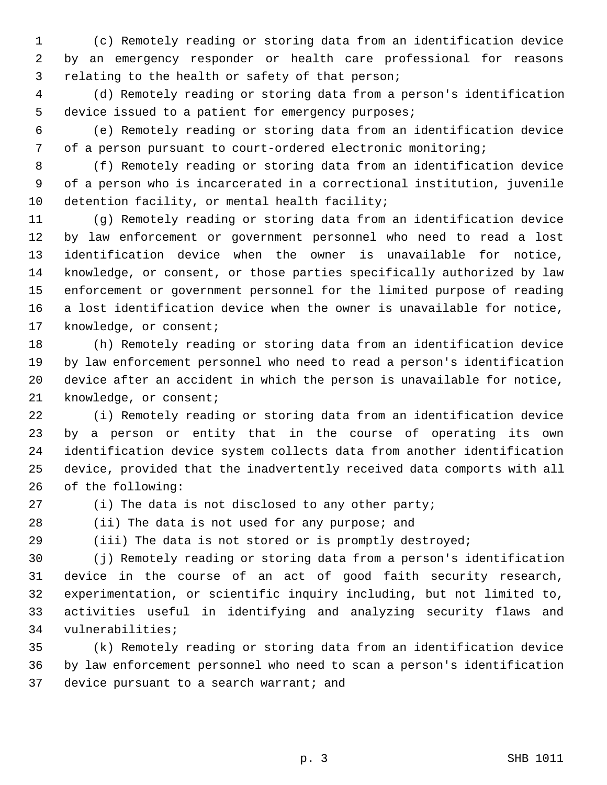1 (c) Remotely reading or storing data from an identification device 2 by an emergency responder or health care professional for reasons 3 relating to the health or safety of that person;

 4 (d) Remotely reading or storing data from a person's identification 5 device issued to a patient for emergency purposes;

 6 (e) Remotely reading or storing data from an identification device 7 of a person pursuant to court-ordered electronic monitoring;

 8 (f) Remotely reading or storing data from an identification device 9 of a person who is incarcerated in a correctional institution, juvenile 10 detention facility, or mental health facility;

11 (g) Remotely reading or storing data from an identification device 12 by law enforcement or government personnel who need to read a lost 13 identification device when the owner is unavailable for notice, 14 knowledge, or consent, or those parties specifically authorized by law 15 enforcement or government personnel for the limited purpose of reading 16 a lost identification device when the owner is unavailable for notice, 17 knowledge, or consent;

18 (h) Remotely reading or storing data from an identification device 19 by law enforcement personnel who need to read a person's identification 20 device after an accident in which the person is unavailable for notice, 21 knowledge, or consent;

22 (i) Remotely reading or storing data from an identification device 23 by a person or entity that in the course of operating its own 24 identification device system collects data from another identification 25 device, provided that the inadvertently received data comports with all 26 of the following:

27 (i) The data is not disclosed to any other party;

28 (ii) The data is not used for any purpose; and

29 (iii) The data is not stored or is promptly destroyed;

30 (j) Remotely reading or storing data from a person's identification 31 device in the course of an act of good faith security research, 32 experimentation, or scientific inquiry including, but not limited to, 33 activities useful in identifying and analyzing security flaws and 34 vulnerabilities;

35 (k) Remotely reading or storing data from an identification device 36 by law enforcement personnel who need to scan a person's identification 37 device pursuant to a search warrant; and